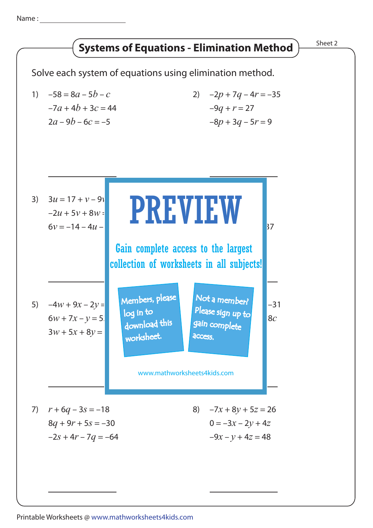Name :